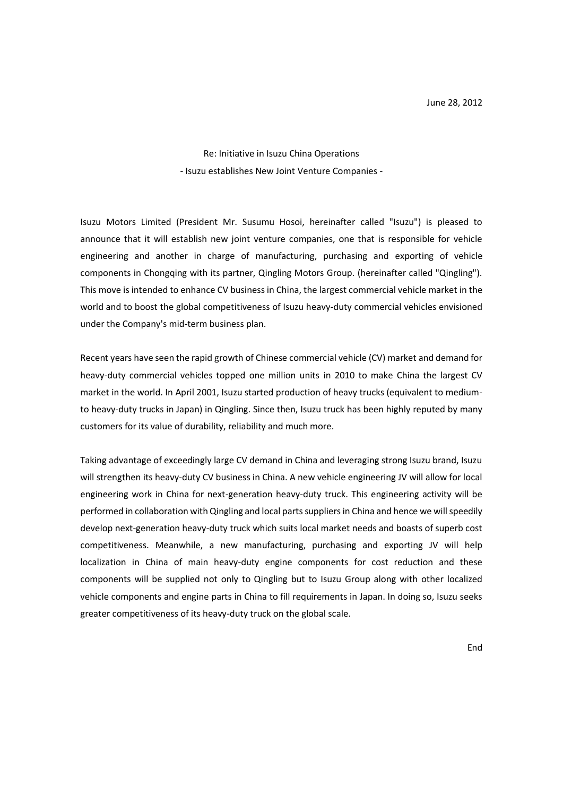Re: Initiative in Isuzu China Operations - Isuzu establishes New Joint Venture Companies -

Isuzu Motors Limited (President Mr. Susumu Hosoi, hereinafter called "Isuzu") is pleased to announce that it will establish new joint venture companies, one that is responsible for vehicle engineering and another in charge of manufacturing, purchasing and exporting of vehicle components in Chongqing with its partner, Qingling Motors Group. (hereinafter called "Qingling"). This move is intended to enhance CV business in China, the largest commercial vehicle market in the world and to boost the global competitiveness of Isuzu heavy-duty commercial vehicles envisioned under the Company's mid-term business plan.

Recent years have seen the rapid growth of Chinese commercial vehicle (CV) market and demand for heavy-duty commercial vehicles topped one million units in 2010 to make China the largest CV market in the world. In April 2001, Isuzu started production of heavy trucks (equivalent to mediumto heavy-duty trucks in Japan) in Qingling. Since then, Isuzu truck has been highly reputed by many customers for its value of durability, reliability and much more.

Taking advantage of exceedingly large CV demand in China and leveraging strong Isuzu brand, Isuzu will strengthen its heavy-duty CV business in China. A new vehicle engineering JV will allow for local engineering work in China for next-generation heavy-duty truck. This engineering activity will be performed in collaboration with Qingling and local parts suppliers in China and hence we will speedily develop next-generation heavy-duty truck which suits local market needs and boasts of superb cost competitiveness. Meanwhile, a new manufacturing, purchasing and exporting JV will help localization in China of main heavy-duty engine components for cost reduction and these components will be supplied not only to Qingling but to Isuzu Group along with other localized vehicle components and engine parts in China to fill requirements in Japan. In doing so, Isuzu seeks greater competitiveness of its heavy-duty truck on the global scale.